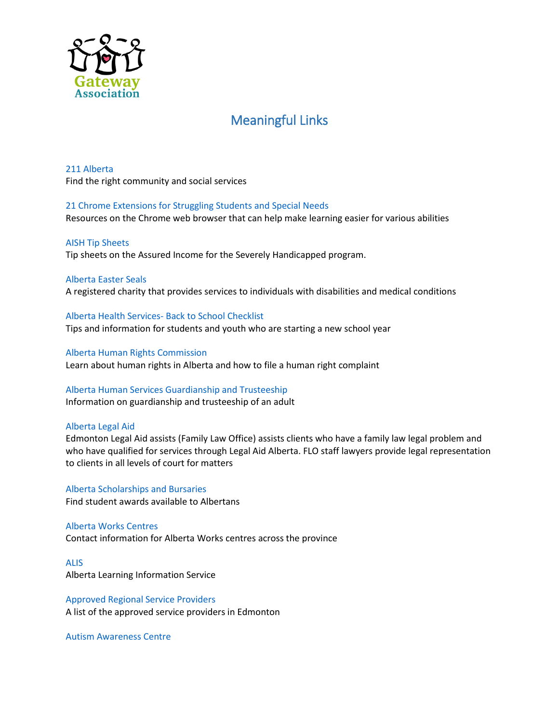

# Meaningful Links

[211 Alberta](http://www.ab.211.ca/) Find the right community and social services

[21 Chrome Extensions for Struggling Students and Special Needs](http://www.controlaltachieve.com/2016/10/special-needs-extensions.html?m=1) Resources on the Chrome web browser that can help make learning easier for various abilities

[AISH Tip Sheets](http://humanservices.alberta.ca/disability-services/aish-program-resources.html#tipsheets) Tip sheets on the Assured Income for the Severely Handicapped program.

[Alberta Easter Seals](http://www.easterseals.ab.ca/Site/index.aspx) A registered charity that provides services to individuals with disabilities and medical conditions

[Alberta Health Services-](http://www.albertahealthservices.ca/info/Page2542.aspx) Back to School Checklist Tips and information for students and youth who are starting a new school year

[Alberta Human Rights Commission](http://www.albertahumanrights.ab.ca/) Learn about human rights in Alberta and how to file a human right complaint

[Alberta Human Services](http://www.humanservices.alberta.ca/guardianship-trusteeship/guardianship-how-it-works.html) Guardianship and Trusteeship Information on guardianship and trusteeship of an adult

[Alberta Legal Aid](http://www.legalaid.ab.ca/Pages/default.aspx)

Edmonton Legal Aid assists (Family Law Office) assists clients who have a family law legal problem and who have qualified for services through Legal Aid Alberta. FLO staff lawyers provide legal representation to clients in all levels of court for matters

[Alberta Scholarships and Bursaries](https://alis.alberta.ca/explore-education-and-training/pay-for-your-education/scholarships-and-bursaries/) Find student awards available to Albertans

[Alberta Works Centres](http://www.humanservices.alberta.ca/locations/offices.html#OfficeType=ABS) Contact information for Alberta Works centres across the province

[ALIS](https://alis.alberta.ca/) [Alberta Learning Information Service](http://www.humanservices.alberta.ca/disability-services/pdd-edmonton-service-providers-by-name.html)

[Approved Regional Service Providers](http://www.humanservices.alberta.ca/disability-services/pdd-edmonton-service-providers-by-name.html) A list of the approved service providers in Edmonton

[Autism Awareness Centre](http://autismawarenesscentre.com/)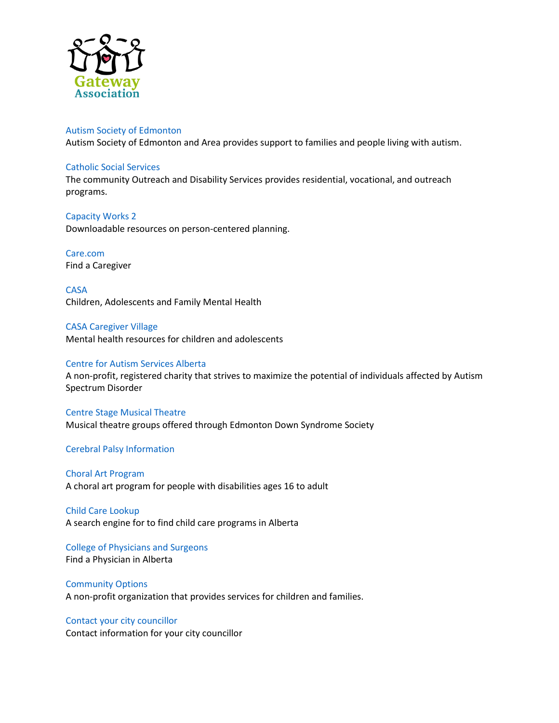

## [Autism Society of Edmonton](http://www.autismedmonton.org/)

Autism Society of Edmonton and Area provides support to families and people living with autism.

## [Catholic Social Services](https://www.cssalberta.ca/)

The community Outreach and Disability Services provides residential, vocational, and outreach programs.

# [Capacity Works 2](http://www.capacityworks2.com/)

Downloadable resources on person-centered planning.

# [Care.com](https://www.care.com/en-ca/)

Find a Caregiver

[CASA](http://www.casaservices.org/) Children, Adolescents and Family Mental Health

[CASA Caregiver Village](http://www.caregivervillage.ca/index.php/webapp) Mental health resources for children and adolescents

## [Centre for Autism Services Alberta](https://centreforautism.ab.ca/)

A non-profit, registered charity that strives to maximize the potential of individuals affected by Autism Spectrum Disorder

#### [Centre Stage Musical Theatre](http://www.edss.ca/centre-stage-musical-theatre)

Musical theatre groups offered through Edmonton Down Syndrome Society

## [Cerebral Palsy Information](https://www.cerebralpalsyguidance.com/cerebral-palsy/)

## [Choral Art Program](http://www.choralmorphosis.com/choral_arts_program) A choral art program for people with disabilities ages 16 to adult

[Child Care Lookup](http://humanservices.alberta.ca/oldfusion/ChildCareLookup.cfm) A search engine for to find child care programs in Alberta

[College of Physicians and Surgeons](http://search.cpsa.ca/physiciansearch) Find a Physician in Alberta

# [Community Options](http://www.communityoptions.ab.ca/) A non-profit organization that provides services for children and families.

# Contact your cit[y councillor](http://www.edmonton.ca/city_government/council_committee_meetings/interact-with-council.aspx) Contact information for your city councillor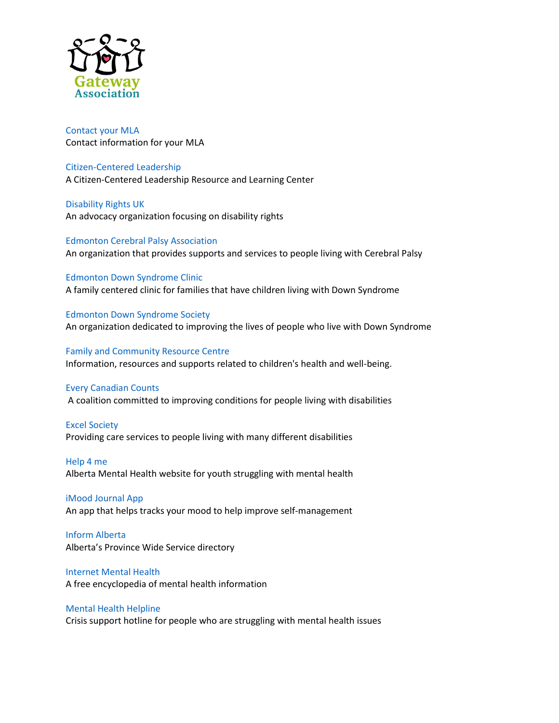

[Contact your MLA](http://www.assembly.ab.ca/net/index.aspx?p=mla_home) Contact information for your MLA

[Citizen-Centered Leadership](http://www.citizencenteredleadership.org/) A Citizen-Centered Leadership Resource and Learning Center

[Disability Rights UK](http://www.disabilityrightsuk.org/) An advocacy organization focusing on disability rights

[Edmonton Cerebral Palsy Association](http://edmontoncp.com/) An organization that provides supports and services to people living with Cerebral Palsy

[Edmonton Down Syndrome Clinic](http://edss.ca/edmonton-down-syndrome-clinic/) A family centered clinic for families that have children living with Down Syndrome

[Edmonton Down Syndrome Society](http://edss.ca/) An organization dedicated to improving the lives of people who live with Down Syndrome

[Family and Community Resource Centre](http://fcrc.albertahealthservices.ca/) Information, resources and supports related to children's health and well-being.

## [Every Canadian Counts](http://everycanadiancounts.com/a-broken-system/)

A coalition committed to improving conditions for people living with disabilities

[Excel Society](http://www.excelsociety.org/) Providing care services to people living with many different disabilities

[Help 4 me](http://help4me.ca/) Alberta Mental Health website for youth struggling with mental health

[iMood Journal App](https://itunes.apple.com/us/app/imoodjournal/id517952128?mt=8) An app that helps tracks your mood to help improve self-management

[Inform Alberta](https://informalberta.ca/public/organization/orgProfileStyled.do?organizationQueryId=1379) Alberta's Province Wide Service directory

[Internet Mental Health](http://www.mentalhealth.com/home/) A free encyclopedia of mental health information

[Mental Health Helpline](http://www.albertahealthservices.ca/info/service.aspx?id=6810)

Crisis support hotline for people who are struggling with mental health issues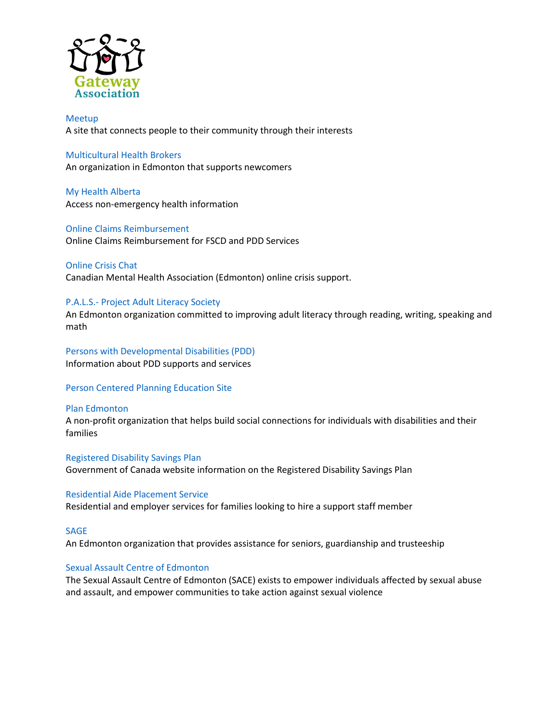

[Meetup](http://www.meetup.com/) A site that connects people to their community through their interests

#### [Multicultural Health Brokers](http://mchb.org/programs/disabilities/)

An organization in Edmonton that supports newcomers

[My Health Alberta](https://myhealth.alberta.ca/) Access non-emergency health information

[Online Claims Reimbursement](https://ocr.humanservices.alberta.ca/) Online Claims Reimbursement for FSCD and PDD Services

[Online Crisis Chat](http://edmonton.cmha.ca/programs_services/online-crisis-chat/#.VuHCqfkrK00) Canadian Mental Health Association (Edmonton) online crisis support.

#### P.A.L.S.- [Project Adult Literacy Society](http://palsedmonton.ca/)

An Edmonton organization committed to improving adult literacy through reading, writing, speaking and math

[Persons with Developmental Disabilities \(PDD\)](http://www.humanservices.alberta.ca/disability-services/pdd.html) Information about PDD supports and services

[Person Centered Planning Education Site](http://www.personcenteredplanning.org/)

#### [Plan Edmonton](http://planedmonton.ca/)

A non-profit organization that helps build social connections for individuals with disabilities and their families

[Registered Disability Savings Plan](http://www.esdc.gc.ca/eng/disability/savings/index.shtml) Government of Canada website information on the Registered Disability Savings Plan

[Residential Aide Placement Service](http://rapsedm.org/index.htm) Residential and employer services for families looking to hire a support staff member

#### [SAGE](http://www.mysage.ca/)

An Edmonton organization that provides assistance for seniors, guardianship and trusteeship

## [Sexual Assault Centre of Edmonton](https://www.sace.ab.ca/)

The Sexual Assault Centre of Edmonton (SACE) exists to empower individuals affected by sexual abuse and assault, and empower communities to take action against sexual violence